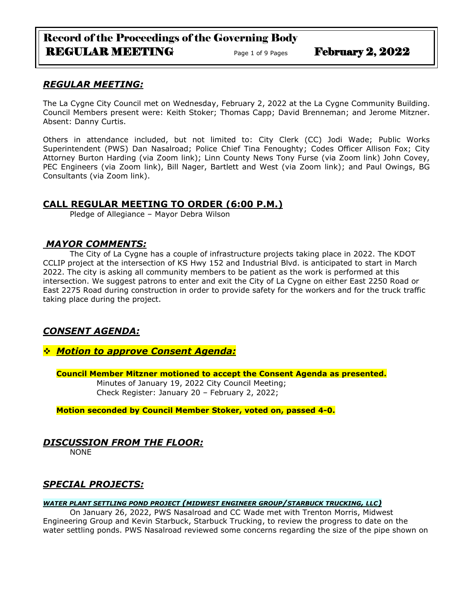# Record of the Proceedings of the Governing Body REGULAR MEETING Page 1 of 9 Pages February 2, 2022

# *REGULAR MEETING:*

The La Cygne City Council met on Wednesday, February 2, 2022 at the La Cygne Community Building. Council Members present were: Keith Stoker; Thomas Capp; David Brenneman; and Jerome Mitzner. Absent: Danny Curtis.

Others in attendance included, but not limited to: City Clerk (CC) Jodi Wade; Public Works Superintendent (PWS) Dan Nasalroad; Police Chief Tina Fenoughty; Codes Officer Allison Fox; City Attorney Burton Harding (via Zoom link); Linn County News Tony Furse (via Zoom link) John Covey, PEC Engineers (via Zoom link), Bill Nager, Bartlett and West (via Zoom link); and Paul Owings, BG Consultants (via Zoom link).

# **CALL REGULAR MEETING TO ORDER (6:00 P.M.)**

Pledge of Allegiance – Mayor Debra Wilson

# *MAYOR COMMENTS:*

The City of La Cygne has a couple of infrastructure projects taking place in 2022. The KDOT CCLIP project at the intersection of KS Hwy 152 and Industrial Blvd. is anticipated to start in March 2022. The city is asking all community members to be patient as the work is performed at this intersection. We suggest patrons to enter and exit the City of La Cygne on either East 2250 Road or East 2275 Road during construction in order to provide safety for the workers and for the truck traffic taking place during the project.

# *CONSENT AGENDA:*

❖ *Motion to approve Consent Agenda:*

**Council Member Mitzner motioned to accept the Consent Agenda as presented.** Minutes of January 19, 2022 City Council Meeting;

Check Register: January 20 – February 2, 2022;

**Motion seconded by Council Member Stoker, voted on, passed 4-0.** 

# *DISCUSSION FROM THE FLOOR:*

NONE

# *SPECIAL PROJECTS:*

### *WATER PLANT SETTLING POND PROJECT (MIDWEST ENGINEER GROUP/STARBUCK TRUCKING, LLC)*

On January 26, 2022, PWS Nasalroad and CC Wade met with Trenton Morris, Midwest Engineering Group and Kevin Starbuck, Starbuck Trucking, to review the progress to date on the water settling ponds. PWS Nasalroad reviewed some concerns regarding the size of the pipe shown on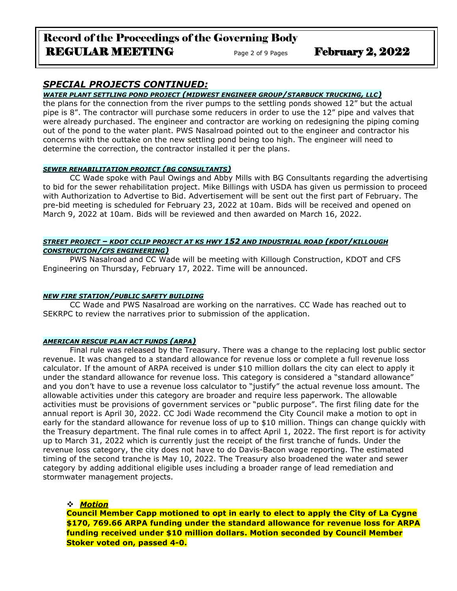# Record of the Proceedings of the Governing Body REGULAR MEETING Page 2 of 9 Pages February 2, 2022

# *SPECIAL PROJECTS CONTINUED:*

### *WATER PLANT SETTLING POND PROJECT (MIDWEST ENGINEER GROUP/STARBUCK TRUCKING, LLC)*

the plans for the connection from the river pumps to the settling ponds showed 12" but the actual pipe is 8". The contractor will purchase some reducers in order to use the 12" pipe and valves that were already purchased. The engineer and contractor are working on redesigning the piping coming out of the pond to the water plant. PWS Nasalroad pointed out to the engineer and contractor his concerns with the outtake on the new settling pond being too high. The engineer will need to determine the correction, the contractor installed it per the plans.

#### *SEWER REHABILITATION PROJECT (BG CONSULTANTS)*

CC Wade spoke with Paul Owings and Abby Mills with BG Consultants regarding the advertising to bid for the sewer rehabilitation project. Mike Billings with USDA has given us permission to proceed with Authorization to Advertise to Bid. Advertisement will be sent out the first part of February. The pre-bid meeting is scheduled for February 23, 2022 at 10am. Bids will be received and opened on March 9, 2022 at 10am. Bids will be reviewed and then awarded on March 16, 2022.

### *STREET PROJECT – KDOT CCLIP PROJECT AT KS HWY 152 AND INDUSTRIAL ROAD (KDOT/KILLOUGH CONSTRUCTION/CFS ENGINEERING)*

PWS Nasalroad and CC Wade will be meeting with Killough Construction, KDOT and CFS Engineering on Thursday, February 17, 2022. Time will be announced.

### *NEW FIRE STATION/PUBLIC SAFETY BUILDING*

CC Wade and PWS Nasalroad are working on the narratives. CC Wade has reached out to SEKRPC to review the narratives prior to submission of the application.

#### *AMERICAN RESCUE PLAN ACT FUNDS (ARPA)*

Final rule was released by the Treasury. There was a change to the replacing lost public sector revenue. It was changed to a standard allowance for revenue loss or complete a full revenue loss calculator. If the amount of ARPA received is under \$10 million dollars the city can elect to apply it under the standard allowance for revenue loss. This category is considered a "standard allowance" and you don't have to use a revenue loss calculator to "justify" the actual revenue loss amount. The allowable activities under this category are broader and require less paperwork. The allowable activities must be provisions of government services or "public purpose". The first filing date for the annual report is April 30, 2022. CC Jodi Wade recommend the City Council make a motion to opt in early for the standard allowance for revenue loss of up to \$10 million. Things can change quickly with the Treasury department. The final rule comes in to affect April 1, 2022. The first report is for activity up to March 31, 2022 which is currently just the receipt of the first tranche of funds. Under the revenue loss category, the city does not have to do Davis-Bacon wage reporting. The estimated timing of the second tranche is May 10, 2022. The Treasury also broadened the water and sewer category by adding additional eligible uses including a broader range of lead remediation and stormwater management projects.

### ❖ *Motion*

**Council Member Capp motioned to opt in early to elect to apply the City of La Cygne \$170, 769.66 ARPA funding under the standard allowance for revenue loss for ARPA funding received under \$10 million dollars. Motion seconded by Council Member Stoker voted on, passed 4-0.**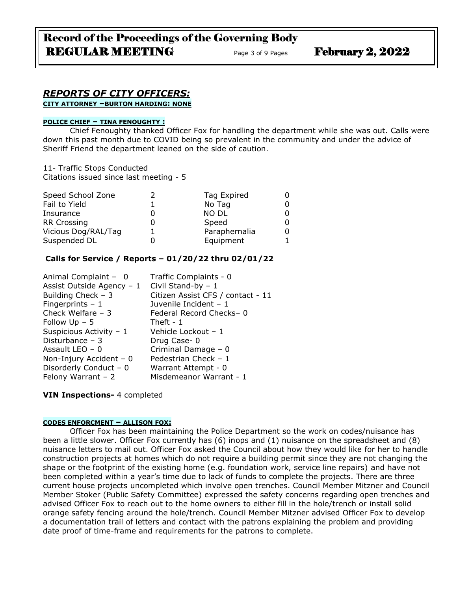# *REPORTS OF CITY OFFICERS:*

**CITY ATTORNEY –BURTON HARDING: NONE**

#### **POLICE CHIEF – TINA FENOUGHTY :**

Chief Fenoughty thanked Officer Fox for handling the department while she was out. Calls were down this past month due to COVID being so prevalent in the community and under the advice of Sheriff Friend the department leaned on the side of caution.

11- Traffic Stops Conducted

Citations issued since last meeting - 5

| Speed School Zone   | Tag Expired   |  |
|---------------------|---------------|--|
| Fail to Yield       | No Tag        |  |
| Insurance           | <b>NO DL</b>  |  |
| <b>RR Crossing</b>  | Speed         |  |
| Vicious Dog/RAL/Tag | Paraphernalia |  |
| Suspended DL        | Equipment     |  |

## **Calls for Service / Reports – 01/20/22 thru 02/01/22**

| Animal Complaint - 0      | Traffic Complaints - 0            |
|---------------------------|-----------------------------------|
| Assist Outside Agency - 1 | Civil Stand-by $-1$               |
| Building Check $-3$       | Citizen Assist CFS / contact - 11 |
| Fingerprints $-1$         | Juvenile Incident - 1             |
| Check Welfare $-3$        | Federal Record Checks-0           |
| Follow $Up - 5$           | Theft - $1$                       |
| Suspicious Activity - 1   | Vehicle Lockout - 1               |
| Disturbance - 3           | Drug Case-0                       |
| Assault LEO - 0           | Criminal Damage - 0               |
| Non-Injury Accident $-0$  | Pedestrian Check - 1              |
| Disorderly Conduct - 0    | Warrant Attempt - 0               |
| Felony Warrant $-2$       | Misdemeanor Warrant - 1           |
|                           |                                   |

**VIN Inspections-** 4 completed

#### **CODES ENFORCMENT – ALLISON FOX:**

Officer Fox has been maintaining the Police Department so the work on codes/nuisance has been a little slower. Officer Fox currently has (6) inops and (1) nuisance on the spreadsheet and (8) nuisance letters to mail out. Officer Fox asked the Council about how they would like for her to handle construction projects at homes which do not require a building permit since they are not changing the shape or the footprint of the existing home (e.g. foundation work, service line repairs) and have not been completed within a year's time due to lack of funds to complete the projects. There are three current house projects uncompleted which involve open trenches. Council Member Mitzner and Council Member Stoker (Public Safety Committee) expressed the safety concerns regarding open trenches and advised Officer Fox to reach out to the home owners to either fill in the hole/trench or install solid orange safety fencing around the hole/trench. Council Member Mitzner advised Officer Fox to develop a documentation trail of letters and contact with the patrons explaining the problem and providing date proof of time-frame and requirements for the patrons to complete.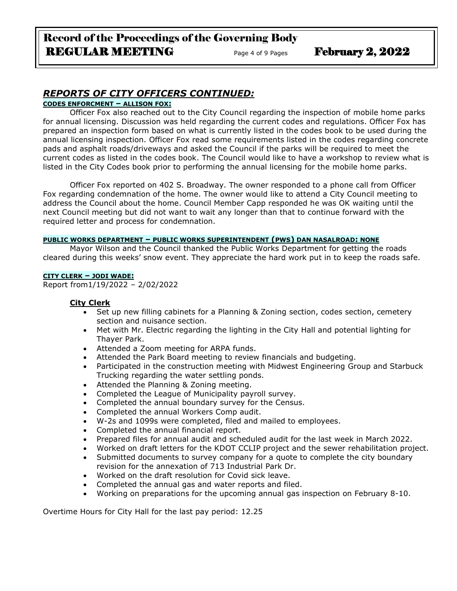# Record of the Proceedings of the Governing Body REGULAR MEETING Page 4 of 9 Pages February 2, 2022

# *REPORTS OF CITY OFFICERS CONTINUED:*

### **CODES ENFORCMENT – ALLISON FOX:**

Officer Fox also reached out to the City Council regarding the inspection of mobile home parks for annual licensing. Discussion was held regarding the current codes and regulations. Officer Fox has prepared an inspection form based on what is currently listed in the codes book to be used during the annual licensing inspection. Officer Fox read some requirements listed in the codes regarding concrete pads and asphalt roads/driveways and asked the Council if the parks will be required to meet the current codes as listed in the codes book. The Council would like to have a workshop to review what is listed in the City Codes book prior to performing the annual licensing for the mobile home parks.

Officer Fox reported on 402 S. Broadway. The owner responded to a phone call from Officer Fox regarding condemnation of the home. The owner would like to attend a City Council meeting to address the Council about the home. Council Member Capp responded he was OK waiting until the next Council meeting but did not want to wait any longer than that to continue forward with the required letter and process for condemnation.

#### **PUBLIC WORKS DEPARTMENT – PUBLIC WORKS SUPERINTENDENT (PWS) DAN NASALROAD: NONE**

Mayor Wilson and the Council thanked the Public Works Department for getting the roads cleared during this weeks' snow event. They appreciate the hard work put in to keep the roads safe.

#### **CITY CLERK – JODI WADE:**

Report from1/19/2022 – 2/02/2022

#### **City Clerk**

- Set up new filling cabinets for a Planning & Zoning section, codes section, cemetery section and nuisance section.
- Met with Mr. Electric regarding the lighting in the City Hall and potential lighting for Thayer Park.
- Attended a Zoom meeting for ARPA funds.
- Attended the Park Board meeting to review financials and budgeting.
- Participated in the construction meeting with Midwest Engineering Group and Starbuck Trucking regarding the water settling ponds.
- Attended the Planning & Zoning meeting.
- Completed the League of Municipality payroll survey.
- Completed the annual boundary survey for the Census.
- Completed the annual Workers Comp audit.
- W-2s and 1099s were completed, filed and mailed to employees.
- Completed the annual financial report.
- Prepared files for annual audit and scheduled audit for the last week in March 2022.
- Worked on draft letters for the KDOT CCLIP project and the sewer rehabilitation project.
- Submitted documents to survey company for a quote to complete the city boundary revision for the annexation of 713 Industrial Park Dr.
- Worked on the draft resolution for Covid sick leave.
- Completed the annual gas and water reports and filed.
- Working on preparations for the upcoming annual gas inspection on February 8-10.

Overtime Hours for City Hall for the last pay period: 12.25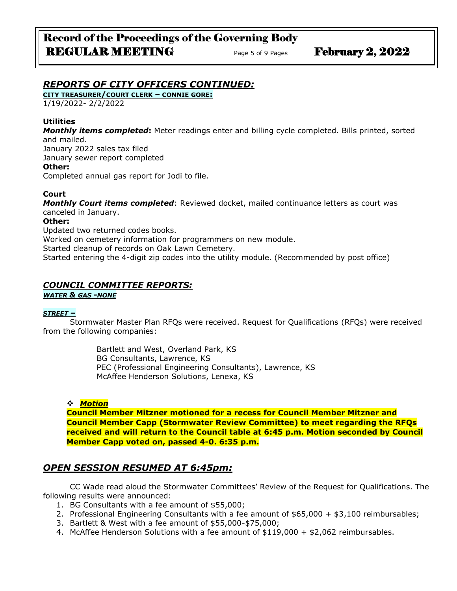# *REPORTS OF CITY OFFICERS CONTINUED:*

**CITY TREASURER/COURT CLERK – CONNIE GORE:**

1/19/2022- 2/2/2022

### **Utilities**

*Monthly items completed***:** Meter readings enter and billing cycle completed. Bills printed, sorted and mailed.

January 2022 sales tax filed

January sewer report completed

**Other:** 

Completed annual gas report for Jodi to file.

## **Court**

*Monthly Court items completed*: Reviewed docket, mailed continuance letters as court was canceled in January.

#### **Other:**

Updated two returned codes books. Worked on cemetery information for programmers on new module. Started cleanup of records on Oak Lawn Cemetery. Started entering the 4-digit zip codes into the utility module. (Recommended by post office)

# *COUNCIL COMMITTEE REPORTS:*

*WATER & GAS -NONE*

### *STREET –*

Stormwater Master Plan RFQs were received. Request for Qualifications (RFQs) were received from the following companies:

> Bartlett and West, Overland Park, KS BG Consultants, Lawrence, KS PEC (Professional Engineering Consultants), Lawrence, KS McAffee Henderson Solutions, Lenexa, KS

### ❖ *Motion*

**Council Member Mitzner motioned for a recess for Council Member Mitzner and Council Member Capp (Stormwater Review Committee) to meet regarding the RFQs received and will return to the Council table at 6:45 p.m. Motion seconded by Council Member Capp voted on, passed 4-0. 6:35 p.m.**

# *OPEN SESSION RESUMED AT 6:45pm:*

CC Wade read aloud the Stormwater Committees' Review of the Request for Qualifications. The following results were announced:

- 1. BG Consultants with a fee amount of \$55,000;
- 2. Professional Engineering Consultants with a fee amount of \$65,000 + \$3,100 reimbursables;
- 3. Bartlett & West with a fee amount of \$55,000-\$75,000;
- 4. McAffee Henderson Solutions with a fee amount of \$119,000 + \$2,062 reimbursables.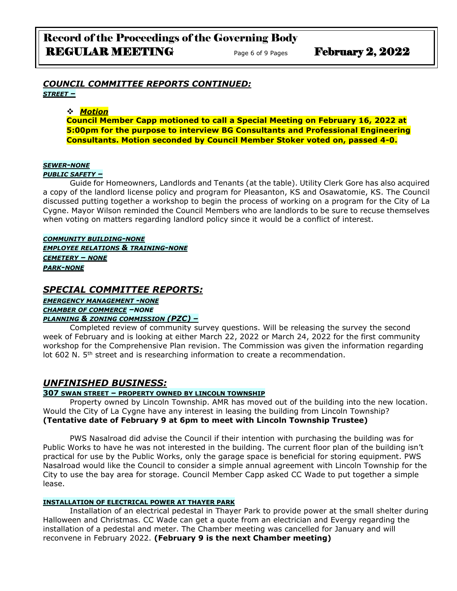## *COUNCIL COMMITTEE REPORTS CONTINUED: STREET –*

### ❖ *Motion*

**Council Member Capp motioned to call a Special Meeting on February 16, 2022 at 5:00pm for the purpose to interview BG Consultants and Professional Engineering Consultants. Motion seconded by Council Member Stoker voted on, passed 4-0.**

#### *SEWER-NONE*

#### *PUBLIC SAFETY –*

Guide for Homeowners, Landlords and Tenants (at the table). Utility Clerk Gore has also acquired a copy of the landlord license policy and program for Pleasanton, KS and Osawatomie, KS. The Council discussed putting together a workshop to begin the process of working on a program for the City of La Cygne. Mayor Wilson reminded the Council Members who are landlords to be sure to recuse themselves when voting on matters regarding landlord policy since it would be a conflict of interest.

*COMMUNITY BUILDING-NONE EMPLOYEE RELATIONS & TRAINING-NONE CEMETERY – NONE PARK-NONE*

## *SPECIAL COMMITTEE REPORTS:*

*EMERGENCY MANAGEMENT -NONE CHAMBER OF COMMERCE –NONE PLANNING & ZONING COMMISSION (PZC) –*

Completed review of community survey questions. Will be releasing the survey the second week of February and is looking at either March 22, 2022 or March 24, 2022 for the first community workshop for the Comprehensive Plan revision. The Commission was given the information regarding lot 602 N.  $5<sup>th</sup>$  street and is researching information to create a recommendation.

# *UNFINISHED BUSINESS:*

### **307 SWAN STREET – PROPERTY OWNED BY LINCOLN TOWNSHIP**

Property owned by Lincoln Township. AMR has moved out of the building into the new location. Would the City of La Cygne have any interest in leasing the building from Lincoln Township? **(Tentative date of February 9 at 6pm to meet with Lincoln Township Trustee)**

PWS Nasalroad did advise the Council if their intention with purchasing the building was for Public Works to have he was not interested in the building. The current floor plan of the building isn't practical for use by the Public Works, only the garage space is beneficial for storing equipment. PWS Nasalroad would like the Council to consider a simple annual agreement with Lincoln Township for the City to use the bay area for storage. Council Member Capp asked CC Wade to put together a simple lease.

#### **INSTALLATION OF ELECTRICAL POWER AT THAYER PARK**

Installation of an electrical pedestal in Thayer Park to provide power at the small shelter during Halloween and Christmas. CC Wade can get a quote from an electrician and Evergy regarding the installation of a pedestal and meter. The Chamber meeting was cancelled for January and will reconvene in February 2022. **(February 9 is the next Chamber meeting)**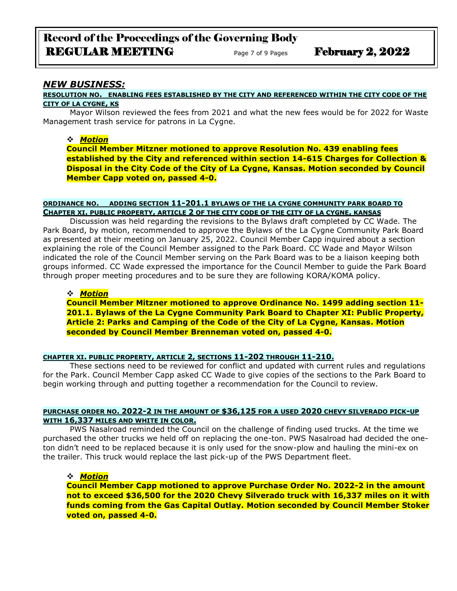## *NEW BUSINESS:*

#### **RESOLUTION NO. ENABLING FEES ESTABLISHED BY THE CITY AND REFERENCED WITHIN THE CITY CODE OF THE CITY OF LA CYGNE, KS**

Mayor Wilson reviewed the fees from 2021 and what the new fees would be for 2022 for Waste Management trash service for patrons in La Cygne.

#### ❖ *Motion*

**Council Member Mitzner motioned to approve Resolution No. 439 enabling fees established by the City and referenced within section 14-615 Charges for Collection & Disposal in the City Code of the City of La Cygne, Kansas. Motion seconded by Council Member Capp voted on, passed 4-0.**

### **ORDINANCE NO. ADDING SECTION 11-201.1 BYLAWS OF THE LA CYGNE COMMUNITY PARK BOARD TO CHAPTER XI. PUBLIC PROPERTY, ARTICLE 2 OF THE CITY CODE OF THE CITY OF LA CYGNE, KANSAS**

Discussion was held regarding the revisions to the Bylaws draft completed by CC Wade. The Park Board, by motion, recommended to approve the Bylaws of the La Cygne Community Park Board as presented at their meeting on January 25, 2022. Council Member Capp inquired about a section explaining the role of the Council Member assigned to the Park Board. CC Wade and Mayor Wilson indicated the role of the Council Member serving on the Park Board was to be a liaison keeping both groups informed. CC Wade expressed the importance for the Council Member to guide the Park Board through proper meeting procedures and to be sure they are following KORA/KOMA policy.

#### ❖ *Motion*

**Council Member Mitzner motioned to approve Ordinance No. 1499 adding section 11- 201.1. Bylaws of the La Cygne Community Park Board to Chapter XI: Public Property, Article 2: Parks and Camping of the Code of the City of La Cygne, Kansas. Motion seconded by Council Member Brenneman voted on, passed 4-0.**

### **CHAPTER XI. PUBLIC PROPERTY, ARTICLE 2, SECTIONS 11-202 THROUGH 11-210.**

These sections need to be reviewed for conflict and updated with current rules and regulations for the Park. Council Member Capp asked CC Wade to give copies of the sections to the Park Board to begin working through and putting together a recommendation for the Council to review.

#### **PURCHASE ORDER NO. 2022-2 IN THE AMOUNT OF \$36,125 FOR A USED 2020 CHEVY SILVERADO PICK-UP WITH 16,337 MILES AND WHITE IN COLOR.**

PWS Nasalroad reminded the Council on the challenge of finding used trucks. At the time we purchased the other trucks we held off on replacing the one-ton. PWS Nasalroad had decided the oneton didn't need to be replaced because it is only used for the snow-plow and hauling the mini-ex on the trailer. This truck would replace the last pick-up of the PWS Department fleet.

#### ❖ *Motion*

**Council Member Capp motioned to approve Purchase Order No. 2022-2 in the amount not to exceed \$36,500 for the 2020 Chevy Silverado truck with 16,337 miles on it with funds coming from the Gas Capital Outlay. Motion seconded by Council Member Stoker voted on, passed 4-0.**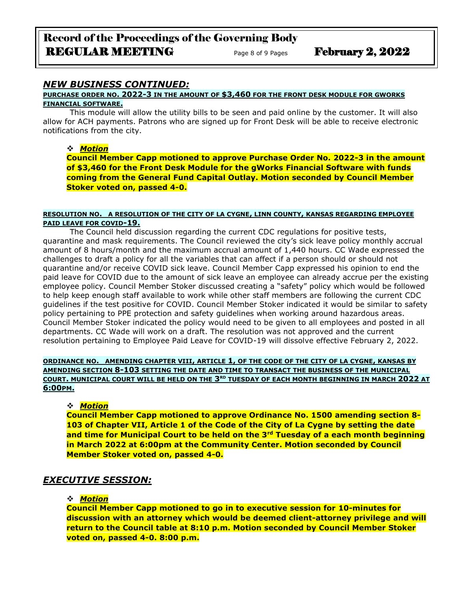# Record of the Proceedings of the Governing Body REGULAR MEETING Page 8 of 9 Pages February 2, 2022

# *NEW BUSINESS CONTINUED:*

#### **PURCHASE ORDER NO. 2022-3 IN THE AMOUNT OF \$3,460 FOR THE FRONT DESK MODULE FOR GWORKS FINANCIAL SOFTWARE.**

This module will allow the utility bills to be seen and paid online by the customer. It will also allow for ACH payments. Patrons who are signed up for Front Desk will be able to receive electronic notifications from the city.

### ❖ *Motion*

**Council Member Capp motioned to approve Purchase Order No. 2022-3 in the amount of \$3,460 for the Front Desk Module for the gWorks Financial Software with funds coming from the General Fund Capital Outlay. Motion seconded by Council Member Stoker voted on, passed 4-0.**

#### **RESOLUTION NO. A RESOLUTION OF THE CITY OF LA CYGNE, LINN COUNTY, KANSAS REGARDING EMPLOYEE PAID LEAVE FOR COVID-19.**

The Council held discussion regarding the current CDC regulations for positive tests, quarantine and mask requirements. The Council reviewed the city's sick leave policy monthly accrual amount of 8 hours/month and the maximum accrual amount of 1,440 hours. CC Wade expressed the challenges to draft a policy for all the variables that can affect if a person should or should not quarantine and/or receive COVID sick leave. Council Member Capp expressed his opinion to end the paid leave for COVID due to the amount of sick leave an employee can already accrue per the existing employee policy. Council Member Stoker discussed creating a "safety" policy which would be followed to help keep enough staff available to work while other staff members are following the current CDC guidelines if the test positive for COVID. Council Member Stoker indicated it would be similar to safety policy pertaining to PPE protection and safety guidelines when working around hazardous areas. Council Member Stoker indicated the policy would need to be given to all employees and posted in all departments. CC Wade will work on a draft. The resolution was not approved and the current resolution pertaining to Employee Paid Leave for COVID-19 will dissolve effective February 2, 2022.

#### **ORDINANCE NO. AMENDING CHAPTER VIII, ARTICLE 1, OF THE CODE OF THE CITY OF LA CYGNE, KANSAS BY AMENDING SECTION 8-103 SETTING THE DATE AND TIME TO TRANSACT THE BUSINESS OF THE MUNICIPAL COURT. MUNICIPAL COURT WILL BE HELD ON THE 3RD TUESDAY OF EACH MONTH BEGINNING IN MARCH 2022 AT 6:00PM.**

### ❖ *Motion*

**Council Member Capp motioned to approve Ordinance No. 1500 amending section 8- 103 of Chapter VII, Article 1 of the Code of the City of La Cygne by setting the date and time for Municipal Court to be held on the 3rd Tuesday of a each month beginning in March 2022 at 6:00pm at the Community Center. Motion seconded by Council Member Stoker voted on, passed 4-0.**

## *EXECUTIVE SESSION:*

### ❖ *Motion*

**Council Member Capp motioned to go in to executive session for 10-minutes for discussion with an attorney which would be deemed client-attorney privilege and will return to the Council table at 8:10 p.m. Motion seconded by Council Member Stoker voted on, passed 4-0. 8:00 p.m.**